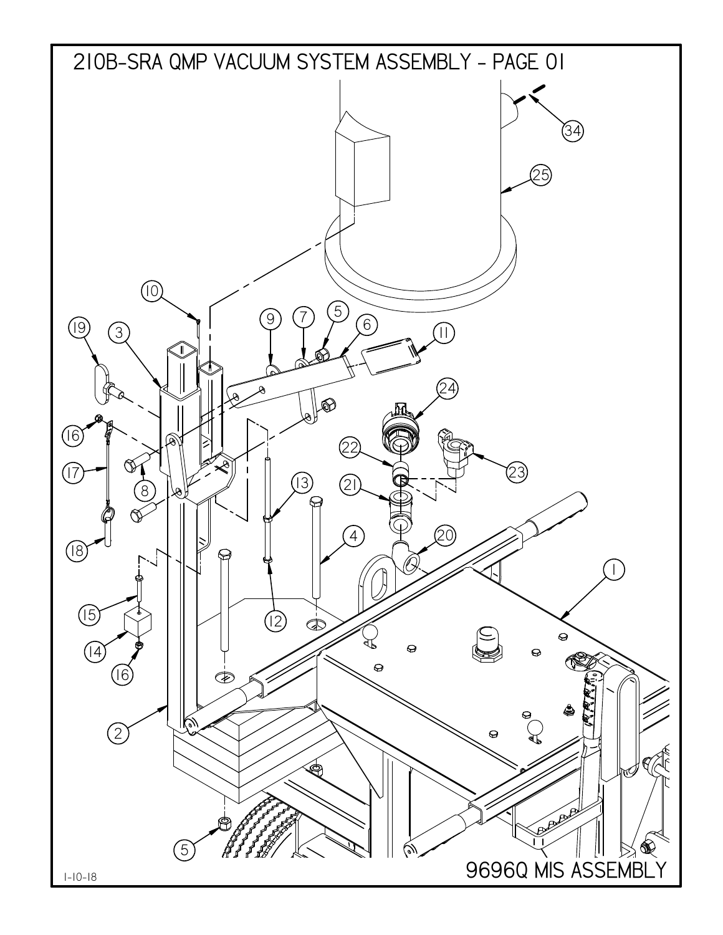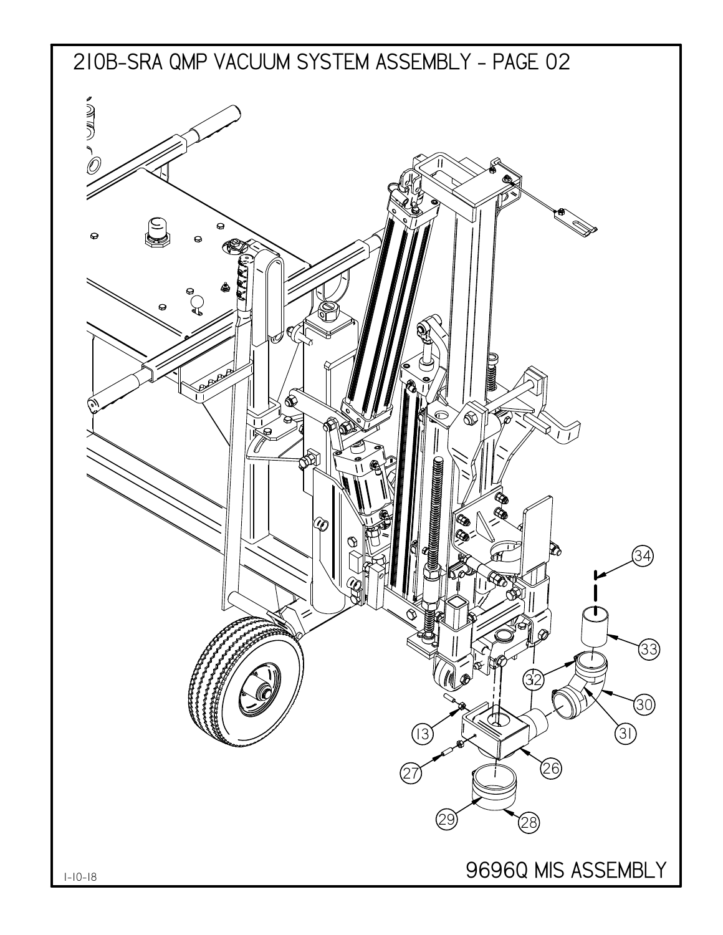